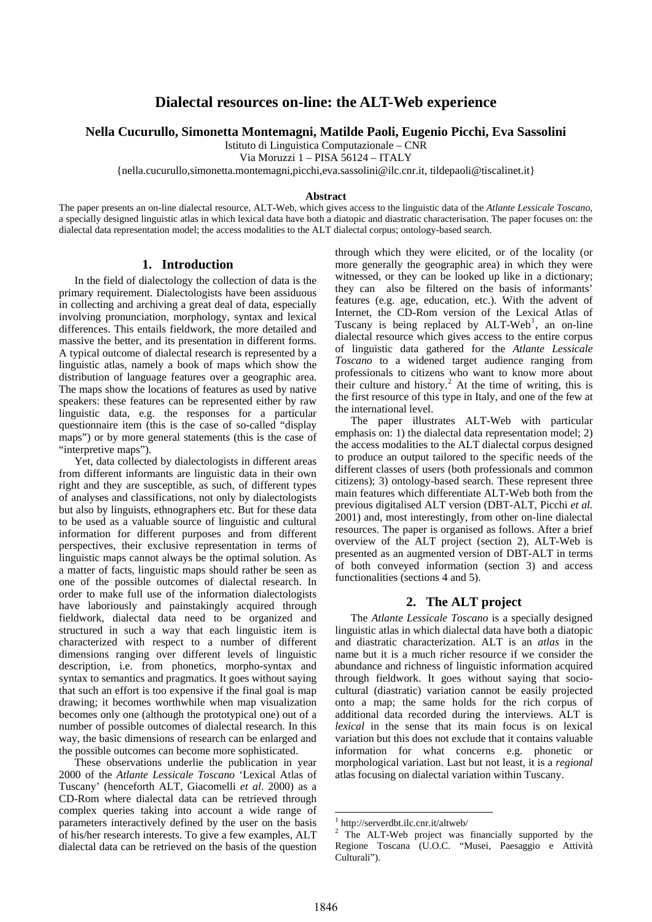# **Dialectal resources on-line: the ALT-Web experience**

### **Nella Cucurullo, Simonetta Montemagni, Matilde Paoli, Eugenio Picchi, Eva Sassolini**

Istituto di Linguistica Computazionale – CNR

Via Moruzzi 1 – PISA 56124 – ITALY

{nella.cucurullo,simonetta.montemagni,picchi,eva.sassolini@ilc.cnr.it, tildepaoli@tiscalinet.it}

#### **Abstract**

The paper presents an on-line dialectal resource, ALT-Web, which gives access to the linguistic data of the *Atlante Lessicale Toscano*, a specially designed linguistic atlas in which lexical data have both a diatopic and diastratic characterisation. The paper focuses on: the dialectal data representation model; the access modalities to the ALT dialectal corpus; ontology-based search.

# **1. Introduction**

In the field of dialectology the collection of data is the primary requirement. Dialectologists have been assiduous in collecting and archiving a great deal of data, especially involving pronunciation, morphology, syntax and lexical differences. This entails fieldwork, the more detailed and massive the better, and its presentation in different forms. A typical outcome of dialectal research is represented by a linguistic atlas, namely a book of maps which show the distribution of language features over a geographic area. The maps show the locations of features as used by native speakers: these features can be represented either by raw linguistic data, e.g. the responses for a particular questionnaire item (this is the case of so-called "display maps") or by more general statements (this is the case of "interpretive maps").

Yet, data collected by dialectologists in different areas from different informants are linguistic data in their own right and they are susceptible, as such, of different types of analyses and classifications, not only by dialectologists but also by linguists, ethnographers etc. But for these data to be used as a valuable source of linguistic and cultural information for different purposes and from different perspectives, their exclusive representation in terms of linguistic maps cannot always be the optimal solution. As a matter of facts, linguistic maps should rather be seen as one of the possible outcomes of dialectal research. In order to make full use of the information dialectologists have laboriously and painstakingly acquired through fieldwork, dialectal data need to be organized and structured in such a way that each linguistic item is characterized with respect to a number of different dimensions ranging over different levels of linguistic description, i.e. from phonetics, morpho-syntax and syntax to semantics and pragmatics. It goes without saying that such an effort is too expensive if the final goal is map drawing; it becomes worthwhile when map visualization becomes only one (although the prototypical one) out of a number of possible outcomes of dialectal research. In this way, the basic dimensions of research can be enlarged and the possible outcomes can become more sophisticated.

<span id="page-0-1"></span><span id="page-0-0"></span>These observations underlie the publication in year 2000 of the *Atlante Lessicale Toscano* 'Lexical Atlas of Tuscany' (henceforth ALT, Giacomelli *et al*. 2000) as a CD-Rom where dialectal data can be retrieved through complex queries taking into account a wide range of parameters interactively defined by the user on the basis of his/her research interests. To give a few examples, ALT dialectal data can be retrieved on the basis of the question

through which they were elicited, or of the locality (or more generally the geographic area) in which they were witnessed, or they can be looked up like in a dictionary; they can also be filtered on the basis of informants' features (e.g. age, education, etc.). With the advent of Internet, the CD-Rom version of the Lexical Atlas of Tuscany is being replaced by  $ALT-Web<sup>1</sup>$  $ALT-Web<sup>1</sup>$  $ALT-Web<sup>1</sup>$ , an on-line dialectal resource which gives access to the entire corpus of linguistic data gathered for the *Atlante Lessicale Toscano* to a widened target audience ranging from professionals to citizens who want to know more about their culture and history.<sup>[2](#page-0-1)</sup> At the time of writing, this is the first resource of this type in Italy, and one of the few at the international level.

The paper illustrates ALT-Web with particular emphasis on: 1) the dialectal data representation model; 2) the access modalities to the ALT dialectal corpus designed to produce an output tailored to the specific needs of the different classes of users (both professionals and common citizens); 3) ontology-based search. These represent three main features which differentiate ALT-Web both from the previous digitalised ALT version (DBT-ALT, Picchi *et al.* 2001) and, most interestingly, from other on-line dialectal resources. The paper is organised as follows. After a brief overview of the ALT project (section 2), ALT-Web is presented as an augmented version of DBT-ALT in terms of both conveyed information (section 3) and access functionalities (sections 4 and 5).

# **2. The ALT project**

The *Atlante Lessicale Toscano* is a specially designed linguistic atlas in which dialectal data have both a diatopic and diastratic characterization. ALT is an *atlas* in the name but it is a much richer resource if we consider the abundance and richness of linguistic information acquired through fieldwork. It goes without saying that sociocultural (diastratic) variation cannot be easily projected onto a map; the same holds for the rich corpus of additional data recorded during the interviews. ALT is *lexical* in the sense that its main focus is on lexical variation but this does not exclude that it contains valuable information for what concerns e.g. phonetic or morphological variation. Last but not least, it is a *regional* atlas focusing on dialectal variation within Tuscany.

1

<sup>1</sup> <http://serverdbt.ilc.cnr.it/altweb/>

<sup>&</sup>lt;sup>2</sup> The ALT-Web project was financially supported by the Regione Toscana (U.O.C. "Musei, Paesaggio e Attività Culturali").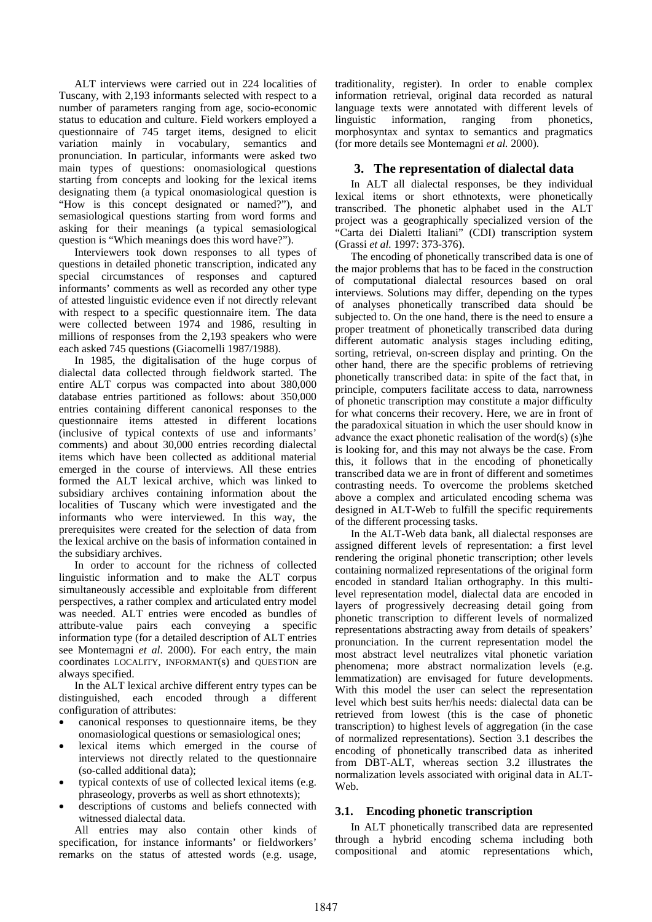ALT interviews were carried out in 224 localities of Tuscany, with 2,193 informants selected with respect to a number of parameters ranging from age, socio-economic status to education and culture. Field workers employed a questionnaire of 745 target items, designed to elicit variation mainly in vocabulary, semantics and pronunciation. In particular, informants were asked two main types of questions: onomasiological questions starting from concepts and looking for the lexical items designating them (a typical onomasiological question is "How is this concept designated or named?"), and semasiological questions starting from word forms and asking for their meanings (a typical semasiological question is "Which meanings does this word have?").

Interviewers took down responses to all types of questions in detailed phonetic transcription, indicated any special circumstances of responses and captured informants' comments as well as recorded any other type of attested linguistic evidence even if not directly relevant with respect to a specific questionnaire item. The data were collected between 1974 and 1986, resulting in millions of responses from the 2,193 speakers who were each asked 745 questions (Giacomelli 1987/1988).

In 1985, the digitalisation of the huge corpus of dialectal data collected through fieldwork started. The entire ALT corpus was compacted into about 380,000 database entries partitioned as follows: about 350,000 entries containing different canonical responses to the questionnaire items attested in different locations (inclusive of typical contexts of use and informants' comments) and about 30,000 entries recording dialectal items which have been collected as additional material emerged in the course of interviews. All these entries formed the ALT lexical archive, which was linked to subsidiary archives containing information about the localities of Tuscany which were investigated and the informants who were interviewed. In this way, the prerequisites were created for the selection of data from the lexical archive on the basis of information contained in the subsidiary archives.

In order to account for the richness of collected linguistic information and to make the ALT corpus simultaneously accessible and exploitable from different perspectives, a rather complex and articulated entry model was needed. ALT entries were encoded as bundles of attribute-value pairs each conveying a specific information type (for a detailed description of ALT entries see Montemagni *et al*. 2000). For each entry, the main coordinates LOCALITY, INFORMANT(s) and QUESTION are always specified.

In the ALT lexical archive different entry types can be distinguished, each encoded through a different configuration of attributes:

- canonical responses to questionnaire items, be they onomasiological questions or semasiological ones;
- lexical items which emerged in the course of interviews not directly related to the questionnaire (so-called additional data);
- typical contexts of use of collected lexical items (e.g. phraseology, proverbs as well as short ethnotexts);
- descriptions of customs and beliefs connected with witnessed dialectal data.

All entries may also contain other kinds of specification, for instance informants' or fieldworkers' remarks on the status of attested words (e.g. usage,

traditionality, register). In order to enable complex information retrieval, original data recorded as natural language texts were annotated with different levels of linguistic information, ranging from phonetics, morphosyntax and syntax to semantics and pragmatics (for more details see Montemagni *et al.* 2000).

# **3. The representation of dialectal data**

In ALT all dialectal responses, be they individual lexical items or short ethnotexts, were phonetically transcribed. The phonetic alphabet used in the ALT project was a geographically specialized version of the "Carta dei Dialetti Italiani" (CDI) transcription system (Grassi *et al.* 1997: 373-376).

The encoding of phonetically transcribed data is one of the major problems that has to be faced in the construction of computational dialectal resources based on oral interviews. Solutions may differ, depending on the types of analyses phonetically transcribed data should be subjected to. On the one hand, there is the need to ensure a proper treatment of phonetically transcribed data during different automatic analysis stages including editing, sorting, retrieval, on-screen display and printing. On the other hand, there are the specific problems of retrieving phonetically transcribed data: in spite of the fact that, in principle, computers facilitate access to data, narrowness of phonetic transcription may constitute a major difficulty for what concerns their recovery. Here, we are in front of the paradoxical situation in which the user should know in advance the exact phonetic realisation of the word(s) (s)he is looking for, and this may not always be the case. From this, it follows that in the encoding of phonetically transcribed data we are in front of different and sometimes contrasting needs. To overcome the problems sketched above a complex and articulated encoding schema was designed in ALT-Web to fulfill the specific requirements of the different processing tasks.

In the ALT-Web data bank, all dialectal responses are assigned different levels of representation: a first level rendering the original phonetic transcription; other levels containing normalized representations of the original form encoded in standard Italian orthography. In this multilevel representation model, dialectal data are encoded in layers of progressively decreasing detail going from phonetic transcription to different levels of normalized representations abstracting away from details of speakers' pronunciation. In the current representation model the most abstract level neutralizes vital phonetic variation phenomena; more abstract normalization levels (e.g. lemmatization) are envisaged for future developments. With this model the user can select the representation level which best suits her/his needs: dialectal data can be retrieved from lowest (this is the case of phonetic transcription) to highest levels of aggregation (in the case of normalized representations). Section 3.1 describes the encoding of phonetically transcribed data as inherited from DBT-ALT, whereas section 3.2 illustrates the normalization levels associated with original data in ALT-Web.

## **3.1. Encoding phonetic transcription**

In ALT phonetically transcribed data are represented through a hybrid encoding schema including both compositional and atomic representations which,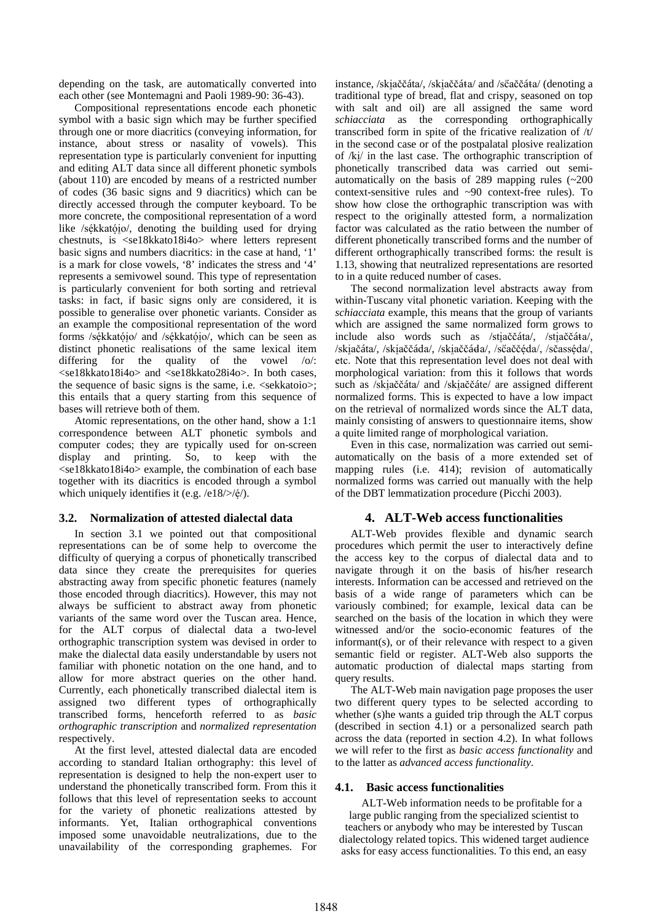depending on the task, are automatically converted into each other (see Montemagni and Paoli 1989-90: 36-43).

Compositional representations encode each phonetic symbol with a basic sign which may be further specified through one or more diacritics (conveying information, for instance, about stress or nasality of vowels). This representation type is particularly convenient for inputting and editing ALT data since all different phonetic symbols (about 110) are encoded by means of a restricted number of codes (36 basic signs and 9 diacritics) which can be directly accessed through the computer keyboard. To be more concrete, the compositional representation of a word like /sékkatójo/, denoting the building used for drying chestnuts, is <se18kkato18i4o> where letters represent basic signs and numbers diacritics: in the case at hand, '1' is a mark for close vowels, '8' indicates the stress and '4' represents a semivowel sound. This type of representation is particularly convenient for both sorting and retrieval tasks: in fact, if basic signs only are considered, it is possible to generalise over phonetic variants. Consider as an example the compositional representation of the word forms /sékkatóio/ and /sékkatóio/, which can be seen as distinct phonetic realisations of the same lexical item differing for the quality of the vowel /o/: <se18kkato18i4o> and <se18kkato28i4o>. In both cases, the sequence of basic signs is the same, i.e. <sekkatoio>; this entails that a query starting from this sequence of bases will retrieve both of them.

Atomic representations, on the other hand, show a 1:1 correspondence between ALT phonetic symbols and computer codes; they are typically used for on-screen display and printing. So, to keep with the <se18kkato18i4o> example, the combination of each base together with its diacritics is encoded through a symbol which uniquely identifies it (e.g.  $/e18$ />/ $\dot{e}$ /).

# **3.2. 4. Normalization of attested dialectal data**

In section 3.1 we pointed out that compositional representations can be of some help to overcome the difficulty of querying a corpus of phonetically transcribed data since they create the prerequisites for queries abstracting away from specific phonetic features (namely those encoded through diacritics). However, this may not always be sufficient to abstract away from phonetic variants of the same word over the Tuscan area. Hence, for the ALT corpus of dialectal data a two-level orthographic transcription system was devised in order to make the dialectal data easily understandable by users not familiar with phonetic notation on the one hand, and to allow for more abstract queries on the other hand. Currently, each phonetically transcribed dialectal item is assigned two different types of orthographically transcribed forms, henceforth referred to as *basic orthographic transcription* and *normalized representation* respectively.

At the first level, attested dialectal data are encoded according to standard Italian orthography: this level of representation is designed to help the non-expert user to understand the phonetically transcribed form. From this it follows that this level of representation seeks to account for the variety of phonetic realizations attested by informants. Yet, Italian orthographical conventions imposed some unavoidable neutralizations, due to the unavailability of the corresponding graphemes. For instance, /skiaččáta/, /skiaččáta/ and /sčaččáta/ (denoting a traditional type of bread, flat and crispy, seasoned on top with salt and oil) are all assigned the same word *schiacciata* as the corresponding orthographically transcribed form in spite of the fricative realization of /t/ in the second case or of the postpalatal plosive realization of  $/k$ <sup> $\mu$ </sup> in the last case. The orthographic transcription of phonetically transcribed data was carried out semiautomatically on the basis of 289 mapping rules (~200 context-sensitive rules and ~90 context-free rules). To show how close the orthographic transcription was with respect to the originally attested form, a normalization factor was calculated as the ratio between the number of different phonetically transcribed forms and the number of different orthographically transcribed forms: the result is 1.13, showing that neutralized representations are resorted to in a quite reduced number of cases.

The second normalization level abstracts away from within-Tuscany vital phonetic variation. Keeping with the *schiacciata* example, this means that the group of variants which are assigned the same normalized form grows to include also words such as /stiaccata/, /stiaccata/, /skiačáta/, /skiaččáda/, /skiaččáda/, /sčaččéda/, /sčasséda/, etc. Note that this representation level does not deal with morphological variation: from this it follows that words such as /skiaččáta/ and /skiaččáte/ are assigned different normalized forms. This is expected to have a low impact on the retrieval of normalized words since the ALT data, mainly consisting of answers to questionnaire items, show a quite limited range of morphological variation.

Even in this case, normalization was carried out semiautomatically on the basis of a more extended set of mapping rules (i.e. 414); revision of automatically normalized forms was carried out manually with the help of the DBT lemmatization procedure (Picchi 2003).

# **ALT-Web access functionalities**

ALT-Web provides flexible and dynamic search procedures which permit the user to interactively define the access key to the corpus of dialectal data and to navigate through it on the basis of his/her research interests. Information can be accessed and retrieved on the basis of a wide range of parameters which can be variously combined; for example, lexical data can be searched on the basis of the location in which they were witnessed and/or the socio-economic features of the informant(s), or of their relevance with respect to a given semantic field or register. ALT-Web also supports the automatic production of dialectal maps starting from query results.

The ALT-Web main navigation page proposes the user two different query types to be selected according to whether (s)he wants a guided trip through the ALT corpus (described in section 4.1) or a personalized search path across the data (reported in section 4.2). In what follows we will refer to the first as *basic access functionality* and to the latter as *advanced access functionality*.

### **4.1. Basic access functionalities**

ALT-Web information needs to be profitable for a large public ranging from the specialized scientist to teachers or anybody who may be interested by Tuscan dialectology related topics. This widened target audience asks for easy access functionalities. To this end, an easy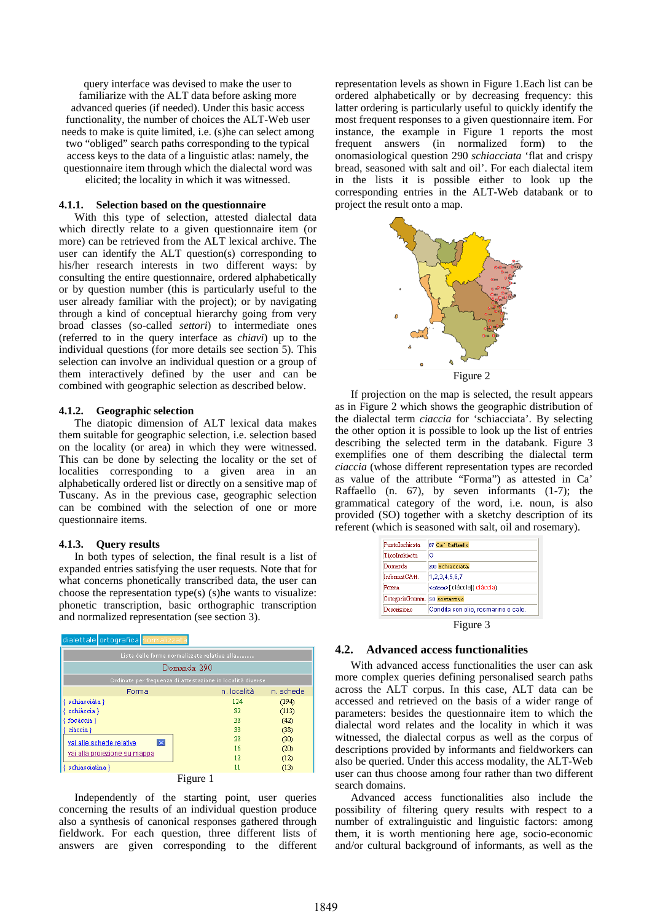query interface was devised to make the user to familiarize with the ALT data before asking more advanced queries (if needed). Under this basic access functionality, the number of choices the ALT-Web user needs to make is quite limited, i.e. (s)he can select among two "obliged" search paths corresponding to the typical access keys to the data of a linguistic atlas: namely, the questionnaire item through which the dialectal word was elicited; the locality in which it was witnessed.

### **4.1.1. Selection based on the questionnaire**

With this type of selection, attested dialectal data which directly relate to a given questionnaire item (or more) can be retrieved from the ALT lexical archive. The user can identify the ALT question(s) corresponding to his/her research interests in two different ways: by consulting the entire questionnaire, ordered alphabetically or by question number (this is particularly useful to the user already familiar with the project); or by navigating through a kind of conceptual hierarchy going from very broad classes (so-called *settori*) to intermediate ones (referred to in the query interface as *chiavi*) up to the individual questions (for more details see section 5). This selection can involve an individual question or a group of them interactively defined by the user and can be combined with geographic selection as described below.

#### **4.1.2. Geographic selection**

The diatopic dimension of ALT lexical data makes them suitable for geographic selection, i.e. selection based on the locality (or area) in which they were witnessed. This can be done by selecting the locality or the set of localities corresponding to a given area in an alphabetically ordered list or directly on a sensitive map of Tuscany. As in the previous case, geographic selection can be combined with the selection of one or more questionnaire items.

#### **4.1.3. Query results**

In both types of selection, the final result is a list of expanded entries satisfying the user requests. Note that for what concerns phonetically transcribed data, the user can choose the representation type(s) (s)he wants to visualize: phonetic transcription, basic orthographic transcription and normalized representation (see section 3).



Independently of the starting point, user queries concerning the results of an individual question produce also a synthesis of canonical responses gathered through fieldwork. For each question, three different lists of answers are given corresponding to the different

representation levels as shown in Figure 1.Each list can be ordered alphabetically or by decreasing frequency: this latter ordering is particularly useful to quickly identify the most frequent responses to a given questionnaire item. For instance, the example in Figure 1 reports the most frequent answers (in normalized form) to the onomasiological question 290 *schiacciata* 'flat and crispy bread, seasoned with salt and oil'. For each dialectal item in the lists it is possible either to look up the corresponding entries in the ALT-Web databank or to project the result onto a map.



If projection on the map is selected, the result appears as in Figure 2 which shows the geographic distribution of the dialectal term *ciaccia* for 'schiacciata'. By selecting the other option it is possible to look up the list of entries describing the selected term in the databank. Figure 3 exemplifies one of them describing the dialectal term *ciaccia* (whose different representation types are recorded as value of the attribute "Forma") as attested in Ca' Raffaello (n. 67), by seven informants (1-7); the grammatical category of the word, i.e. noun, is also provided (SO) together with a sketchy description of its referent (which is seasoned with salt, oil and rosemary).

| PuntoInchiesta   | 67 Ca' Raffaello                    |
|------------------|-------------------------------------|
| TipoInchiesta    | Ю                                   |
| Domanda          | 290 Schiacciata.                    |
| $InformatCAtt$ . | 1,2,3,4,5,6,7                       |
| Forma            | <čáčáa>[ciàccia]{ ciàccia}          |
| CategoriaGramm.  | <b>SO</b> sostantivo                |
| Descrizione      | Condita con olio, rosmarino e sale. |
|                  | Figure 3                            |

#### **4.2. Advanced access functionalities**

With advanced access functionalities the user can ask more complex queries defining personalised search paths across the ALT corpus. In this case, ALT data can be accessed and retrieved on the basis of a wider range of parameters: besides the questionnaire item to which the dialectal word relates and the locality in which it was witnessed, the dialectal corpus as well as the corpus of descriptions provided by informants and fieldworkers can also be queried. Under this access modality, the ALT-Web user can thus choose among four rather than two different search domains.

Advanced access functionalities also include the possibility of filtering query results with respect to a number of extralinguistic and linguistic factors: among them, it is worth mentioning here age, socio-economic and/or cultural background of informants, as well as the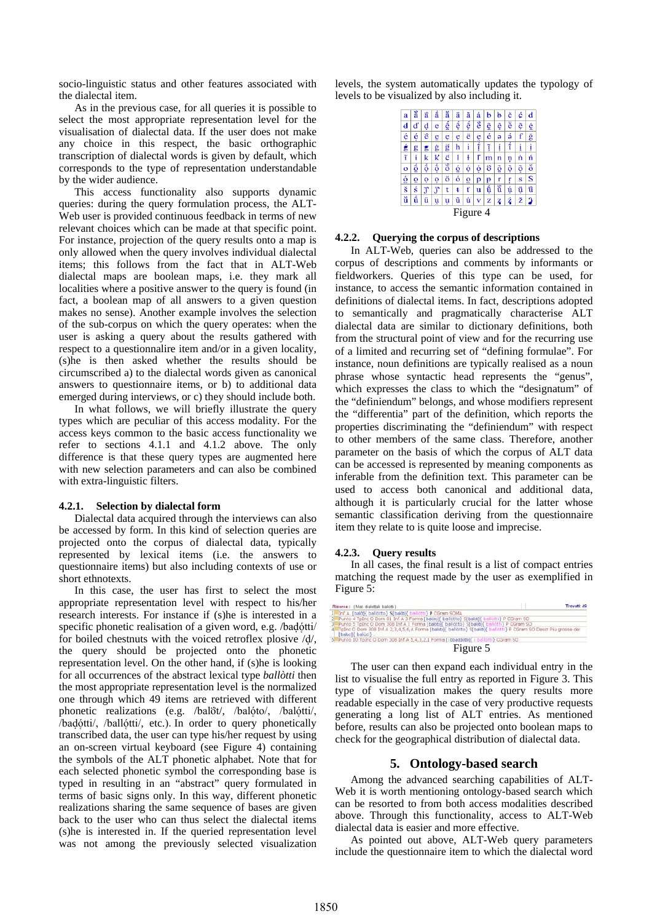socio-linguistic status and other features associated with the dialectal item.

As in the previous case, for all queries it is possible to select the most appropriate representation level for the visualisation of dialectal data. If the user does not make any choice in this respect, the basic orthographic transcription of dialectal words is given by default, which corresponds to the type of representation understandable by the wider audience.

This access functionality also supports dynamic queries: during the query formulation process, the ALT-Web user is provided continuous feedback in terms of new relevant choices which can be made at that specific point. For instance, projection of the query results onto a map is only allowed when the query involves individual dialectal items; this follows from the fact that in ALT-Web dialectal maps are boolean maps, i.e. they mark all localities where a positive answer to the query is found (in fact, a boolean map of all answers to a given question makes no sense). Another example involves the selection of the sub-corpus on which the query operates: when the user is asking a query about the results gathered with respect to a questionnalire item and/or in a given locality, (s)he is then asked whether the results should be circumscribed a) to the dialectal words given as canonical answers to questionnaire items, or b) to additional data emerged during interviews, or c) they should include both.

In what follows, we will briefly illustrate the query types which are peculiar of this access modality. For the access keys common to the basic access functionality we refer to sections 4.1.1 and 4.1.2 above. The only difference is that these query types are augmented here with new selection parameters and can also be combined with extra-linguistic filters.

### **4.2.1. Selection by dialectal form**

Dialectal data acquired through the interviews can also be accessed by form. In this kind of selection queries are projected onto the corpus of dialectal data, typically represented by lexical items (i.e. the answers to questionnaire items) but also including contexts of use or short ethnotexts.

In this case, the user has first to select the most appropriate representation level with respect to his/her research interests. For instance if (s)he is interested in a specific phonetic realisation of a given word, e.g. /badótti/ for boiled chestnuts with the voiced retroflex plosive  $\frac{d}{d}$ , the query should be projected onto the phonetic representation level. On the other hand, if (s)he is looking for all occurrences of the abstract lexical type *ballòtti* then the most appropriate representation level is the normalized one through which 49 items are retrieved with different phonetic realizations (e.g. /balöt/, /balóto/, /balótti/, /badótti/, /ballótti/, etc.). In order to query phonetically transcribed data, the user can type his/her request by using an on-screen virtual keyboard (see Figure 4) containing the symbols of the ALT phonetic alphabet. Note that for each selected phonetic symbol the corresponding base is typed in resulting in an "abstract" query formulated in terms of basic signs only. In this way, different phonetic realizations sharing the same sequence of bases are given back to the user who can thus select the dialectal items (s)he is interested in. If the queried representation level was not among the previously selected visualization

levels, the system automatically updates the typology of levels to be visualized by also including it.



#### **4.2.2. Querying the corpus of descriptions**

In ALT-Web, queries can also be addressed to the corpus of descriptions and comments by informants or fieldworkers. Queries of this type can be used, for instance, to access the semantic information contained in definitions of dialectal items. In fact, descriptions adopted to semantically and pragmatically characterise ALT dialectal data are similar to dictionary definitions, both from the structural point of view and for the recurring use of a limited and recurring set of "defining formulae". For instance, noun definitions are typically realised as a noun phrase whose syntactic head represents the "genus", which expresses the class to which the "designatum" of the "definiendum" belongs, and whose modifiers represent the "differentia" part of the definition, which reports the properties discriminating the "definiendum" with respect to other members of the same class. Therefore, another parameter on the basis of which the corpus of ALT data can be accessed is represented by meaning components as inferable from the definition text. This parameter can be used to access both canonical and additional data, although it is particularly crucial for the latter whose semantic classification deriving from the questionnaire item they relate to is quite loose and imprecise.

#### **4.2.3. Query results**

In all cases, the final result is a list of compact entries matching the request made by the user as exemplified in Figure 5:

| Trovati: 49<br>Ricerca: (Mat. dialettal: ballotti )                                                                                      |
|------------------------------------------------------------------------------------------------------------------------------------------|
| 1 Inf.A. [bald]{ ballotto} S[bald]{ ballotti} P CGram SOMA                                                                               |
| 2 Punto 4 TpInc O Dom 81 Inf.A 3 Forma [baldo]{ ballotto} S[baldo]{ ballotti} P CGram SO                                                 |
| 3 Punto 5 TpInc O Dom 308 Inf.A 1 Forma [baloto]{ ballotto} S[balotti} ballotti} P CGram SO                                              |
| 4 TpInc O Dom 308 Inf.A 2,3,4,5,6,A Forma [baloto] [ballotto] S[balot] [ballotti] P CGram SO Descr Più grosse dei<br>[balùci]{ balùci} _ |
| 5 Punto 10 TpInc O Dom 308 Inf.A 5,4,3,2,1 Forma [i bbaddote]{ I ballotti} CGram 90                                                      |
| Figure 5                                                                                                                                 |

The user can then expand each individual entry in the list to visualise the full entry as reported in Figure 3. This type of visualization makes the query results more readable especially in the case of very productive requests generating a long list of ALT entries. As mentioned before, results can also be projected onto boolean maps to check for the geographical distribution of dialectal data.

# **5. Ontology-based search**

Among the advanced searching capabilities of ALT-Web it is worth mentioning ontology-based search which can be resorted to from both access modalities described above. Through this functionality, access to ALT-Web dialectal data is easier and more effective.

As pointed out above, ALT-Web query parameters include the questionnaire item to which the dialectal word